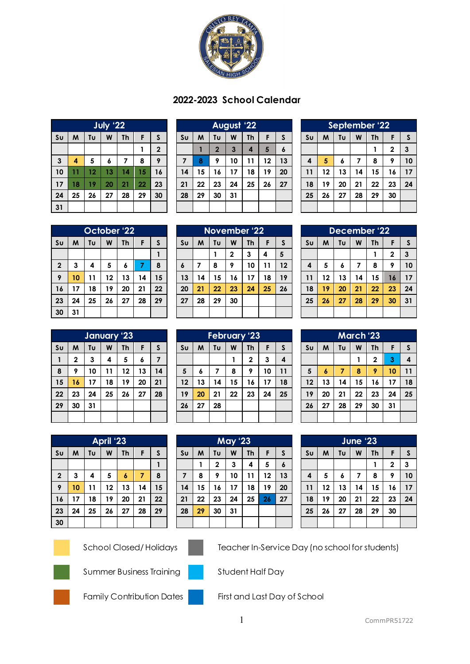

## **2022-2023 School Calendar**

|                        | <b>July '22</b> |    |    |           |    |                  |  |  |  |
|------------------------|-----------------|----|----|-----------|----|------------------|--|--|--|
| $\mathsf{S}\mathsf{u}$ | M               | Tυ | W  | <b>Th</b> | F  | S                |  |  |  |
|                        |                 |    |    |           |    | $\boldsymbol{2}$ |  |  |  |
| 3                      | 4               | 5  | 6  | 7         | 8  | 9                |  |  |  |
| 10                     | 11              | 12 | 13 | 14        | 15 | 16               |  |  |  |
| 17                     | 18              | 19 | 20 | 21        | 22 | 23               |  |  |  |
| 24                     | 25              | 26 | 27 | 28        | 29 | 30               |  |  |  |
| 31                     |                 |    |    |           |    |                  |  |  |  |

|                | August '22 |             |              |                |    |    |  |  |
|----------------|------------|-------------|--------------|----------------|----|----|--|--|
| S <sub>U</sub> | M          | Tυ          | W            | <b>Th</b>      | F  | S  |  |  |
|                |            | $\mathbf 2$ | $\mathbf{3}$ | $\overline{4}$ | 5  | 6  |  |  |
| $\overline{z}$ | 8          | 9           | 10           | 11             | 12 | 13 |  |  |
| 14             | 15         | 16          | 17           | 18             | 19 | 20 |  |  |
| 21             | 22         | 23          | 24           | 25             | 26 | 27 |  |  |
| 28             | 29         | 30          | 31           |                |    |    |  |  |
|                |            |             |              |                |    |    |  |  |

| September '22                    |                              |    |    |    |              |    |  |  |
|----------------------------------|------------------------------|----|----|----|--------------|----|--|--|
| S <sub>U</sub>                   | Tυ<br>W<br>M<br>Th<br>S<br>F |    |    |    |              |    |  |  |
|                                  |                              |    |    |    | $\mathbf{2}$ | 3  |  |  |
| 4                                | 5                            | 6  | 7  | 8  | 9            | 10 |  |  |
| 11                               | 12                           | 13 | 14 | 15 | 16           | 17 |  |  |
| 18                               | 19                           | 20 | 21 | 22 | 23           | 24 |  |  |
| 25<br>30<br>28<br>29<br>27<br>26 |                              |    |    |    |              |    |  |  |
|                                  |                              |    |    |    |              |    |  |  |

|                | October 22 |    |    |    |    |    |  |  |  |
|----------------|------------|----|----|----|----|----|--|--|--|
| S <sub>U</sub> | M          | Tυ | W  | Th | F  | S  |  |  |  |
|                |            |    |    |    |    |    |  |  |  |
| $\mathbf 2$    | 3          | 4  | 5  | 6  | 7  | 8  |  |  |  |
| 9              | 10         | 11 | 12 | 13 | 14 | 15 |  |  |  |
| 16             | 17         | 18 | 19 | 20 | 21 | 22 |  |  |  |
| 23             | 24         | 25 | 26 | 27 | 28 | 29 |  |  |  |
| 30             | 31         |    |    |    |    |    |  |  |  |

| November '22   |                              |    |              |    |    |    |  |  |
|----------------|------------------------------|----|--------------|----|----|----|--|--|
| S <sub>U</sub> | Tυ<br>M<br>W<br>Th<br>S<br>F |    |              |    |    |    |  |  |
|                |                              |    | $\mathbf{2}$ | 3  | 4  | 5  |  |  |
| 6              | 7                            | 8  | 9            | 10 | 11 | 12 |  |  |
| 13             | 14                           | 15 | 16           | 17 | 18 | 19 |  |  |
| 20             | 21                           | 22 | 23           | 24 | 25 | 26 |  |  |
| 27             | 28                           | 29 | 30           |    |    |    |  |  |
|                |                              |    |              |    |    |    |  |  |

| December '22   |    |    |    |           |             |              |  |  |
|----------------|----|----|----|-----------|-------------|--------------|--|--|
| S <sub>U</sub> | M  | Tυ | W  | <b>Th</b> | F           | $\mathsf{s}$ |  |  |
|                |    |    |    |           | $\mathbf 2$ | 3            |  |  |
| 4              | 5  | 6  | 7  | 8         | 9           | 10           |  |  |
| 11             | 12 | 13 | 14 | 15        | 16          | 17           |  |  |
| 18             | 19 | 20 | 21 | 22        | 23          | 24           |  |  |
| 25             | 26 | 27 | 28 | 29        | 30          | 31           |  |  |
|                |    |    |    |           |             |              |  |  |

|                | January '23  |    |    |           |    |    |  |  |
|----------------|--------------|----|----|-----------|----|----|--|--|
| S <sub>U</sub> | M            | Tu | W  | <b>Th</b> | F  | S  |  |  |
| 1              | $\mathbf{2}$ | 3  | 4  | 5         | 6  | 7  |  |  |
| 8              | 9            | 10 | 11 | 12        | 13 | 14 |  |  |
| 15             | 16           | 17 | 18 | 19        | 20 | 21 |  |  |
| 22             | 23           | 24 | 25 | 26        | 27 | 28 |  |  |
| 29             | 30           | 31 |    |           |    |    |  |  |
|                |              |    |    |           |    |    |  |  |

| <b>February '23</b> |    |    |    |              |    |                         |  |  |
|---------------------|----|----|----|--------------|----|-------------------------|--|--|
| S <sub>U</sub>      | M  | Tu | W  | Th           | F  | S                       |  |  |
|                     |    |    |    | $\mathbf{2}$ | 3  | $\overline{\mathbf{4}}$ |  |  |
| 5                   | 6  | 7  | 8  | 9            | 10 | 11                      |  |  |
| 12                  | 13 | 14 | 15 | 16           | 17 | 18                      |  |  |
| 19                  | 20 | 21 | 22 | 23           | 24 | 25                      |  |  |
| 26                  | 27 | 28 |    |              |    |                         |  |  |
|                     |    |    |    |              |    |                         |  |  |

| <b>March</b> '23 |                                         |    |    |             |    |    |  |  |
|------------------|-----------------------------------------|----|----|-------------|----|----|--|--|
| S <sub>U</sub>   | Tυ<br>W<br>$\mathsf{s}$<br>M<br>Th<br>F |    |    |             |    |    |  |  |
|                  |                                         |    |    | $\mathbf 2$ | 3  | 4  |  |  |
| 5                | 6                                       | 7  | 8  | 9           | 10 | 11 |  |  |
| 12               | 13                                      | 14 | 15 | 16          | 17 | 18 |  |  |
| 19               | 20                                      | 21 | 22 | 23          | 24 | 25 |  |  |
| 26               | 27                                      | 28 | 29 | 30          | 31 |    |  |  |
|                  |                                         |    |    |             |    |    |  |  |

|                | <b>April '23</b> |    |    |                  |    |    |  |  |  |
|----------------|------------------|----|----|------------------|----|----|--|--|--|
| S <sub>U</sub> | M                | Tυ | W  | <b>Th</b>        | F  | S  |  |  |  |
|                |                  |    |    |                  |    |    |  |  |  |
| $\mathbf 2$    | 3                | 4  | 5  | $\boldsymbol{6}$ | 7  | 8  |  |  |  |
| 9              | 10               | 11 | 12 | 13               | 14 | 15 |  |  |  |
| 16             | 17               | 18 | 19 | 20               | 21 | 22 |  |  |  |
| 23             | 24               | 25 | 26 | 27               | 28 | 29 |  |  |  |
| 30             |                  |    |    |                  |    |    |  |  |  |

| <b>May '23</b> |    |              |    |           |    |    |  |  |
|----------------|----|--------------|----|-----------|----|----|--|--|
| S <sub>U</sub> | M  | Tυ           | W  | <b>Th</b> | F  | S  |  |  |
|                |    | $\mathbf{2}$ | 3  | 4         | 5  | 6  |  |  |
| $\overline{7}$ | 8  | 9            | 10 | 11        | 12 | 13 |  |  |
| 14             | 15 | 16           | 17 | 18        | 19 | 20 |  |  |
| 21             | 22 | 23           | 24 | 25        | 26 | 27 |  |  |
| 28             | 29 | 30           | 31 |           |    |    |  |  |
|                |    |              |    |           |    |    |  |  |

| June '23       |    |    |    |    |             |              |  |  |
|----------------|----|----|----|----|-------------|--------------|--|--|
|                |    |    |    |    |             |              |  |  |
| S <sub>U</sub> | M  | Tυ | W  | Th | F           | $\mathsf{s}$ |  |  |
|                |    |    |    |    | $\mathbf 2$ | 3            |  |  |
| 4              | 5  | 6  | 7  | 8  | 9           | 10           |  |  |
| 11             | 12 | 13 | 14 | 15 | 16          | 17           |  |  |
| 18             | 19 | 20 | 21 | 22 | 23          | 24           |  |  |
| 25             | 26 | 27 | 28 | 29 | 30          |              |  |  |
|                |    |    |    |    |             |              |  |  |





School Closed/ Holidays Teacher In-Service Day (no school for students)





Summer Business Training Student Half Day





Family Contribution Dates **First and Last Day of School**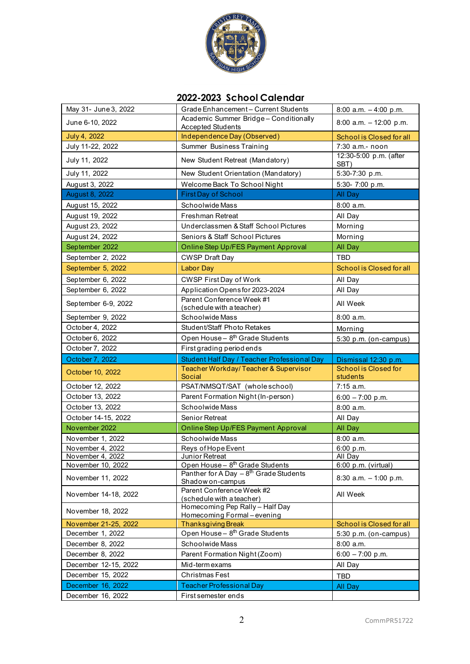

## **2022-2023 School Calendar**

| May 31- June 3, 2022 | Grade Enhancement - Current Students                                                      | 8:00 a.m. $-4:00$ p.m.                  |
|----------------------|-------------------------------------------------------------------------------------------|-----------------------------------------|
| June 6-10, 2022      | Academic Summer Bridge-Conditionally<br><b>Accepted Students</b>                          | 8:00 a.m. $-12:00$ p.m.                 |
| July 4, 2022         | Independence Day (Observed)                                                               | School is Closed for all                |
| July 11-22, 2022     | Summer Business Training                                                                  | 7:30 a.m.- noon                         |
| July 11, 2022        | New Student Retreat (Mandatory)                                                           | 12:30-5:00 p.m. (after<br>SBT)          |
| July 11, 2022        | New Student Orientation (Mandatory)                                                       | 5:30-7:30 p.m.                          |
| August 3, 2022       | Welcome Back To School Night                                                              | 5:30-7:00 p.m.                          |
| August 8, 2022       | <b>First Day of School</b>                                                                | All Day                                 |
| August 15, 2022      | Schoolwide Mass                                                                           | $8:00$ a.m.                             |
| August 19, 2022      | Freshman Retreat                                                                          | All Day                                 |
| August 23, 2022      | Underclassmen & Staff School Pictures                                                     | Morning                                 |
| August 24, 2022      | Seniors & Staff School Pictures                                                           | Morning                                 |
| September 2022       | Online Step Up/FES Payment Approval                                                       | All Day                                 |
| September 2, 2022    | <b>CWSP Draft Day</b>                                                                     | TBD                                     |
| September 5, 2022    | Labor Day                                                                                 | School is Closed for all                |
| September 6, 2022    | CWSP First Day of Work                                                                    | All Day                                 |
| September 6, 2022    | Application Opens for 2023-2024                                                           | All Day                                 |
| September 6-9, 2022  | Parent Conference Week #1<br>(schedule with a teacher)                                    | All Week                                |
| September 9, 2022    | Schoolwide Mass                                                                           | 8:00 a.m.                               |
| October 4, 2022      | Student/Staff Photo Retakes                                                               | Morning                                 |
| October 6, 2022      | Open House - 8 <sup>th</sup> Grade Students                                               | 5:30 p.m. (on-campus)                   |
| October 7, 2022      | First grading period ends                                                                 |                                         |
| October 7, 2022      | Student Half Day / Teacher Professional Day                                               | Dismissal 12:30 p.m.                    |
| October 10, 2022     | Teacher Workday/Teacher & Supervisor<br>Social                                            | <b>School is Closed for</b><br>students |
| October 12, 2022     | PSAT/NMSQT/SAT (whole school)                                                             | 7:15 a.m.                               |
| October 13, 2022     | Parent Formation Night (In-person)                                                        | $6:00 - 7:00$ p.m.                      |
| October 13, 2022     | Schoolwide Mass                                                                           | 8:00 a.m.                               |
| October 14-15, 2022  | Senior Retreat                                                                            | All Day                                 |
| November 2022        | Online Step Up/FES Payment Approval                                                       | All Day                                 |
| November 1, 2022     | Schoolwide Mass                                                                           | $8:00$ a.m.                             |
| November 4, 2022     | Reys of Hope Event                                                                        | 6:00 p.m.                               |
| November 4, 2022     | Junior Retreat                                                                            | All Day                                 |
| November 10, 2022    | Open House - 8 <sup>th</sup> Grade Students<br>Panther for A Day $-8^{th}$ Grade Students | $6:00$ p.m. (virtual)                   |
| November 11, 2022    | Shadow on-campus                                                                          | 8:30 a.m. $-1:00$ p.m.                  |
| November 14-18, 2022 | Parent Conference Week #2<br>(schedule with a teacher)                                    | All Week                                |
| November 18, 2022    | Homecoming Pep Rally - Half Day<br>Homecoming Formal-evening                              |                                         |
| November 21-25, 2022 | <b>Thanksgiving Break</b>                                                                 | <b>School is Closed for all</b>         |
| December 1, 2022     | Open House - 8 <sup>th</sup> Grade Students                                               | 5:30 p.m. (on-campus)                   |
| December 8, 2022     | Schoolwide Mass                                                                           | 8:00 a.m.                               |
| December 8, 2022     | Parent Formation Night (Zoom)                                                             | $6:00 - 7:00$ p.m.                      |
| December 12-15, 2022 | Mid-term exams                                                                            | All Day                                 |
| December 15, 2022    | Christmas Fest                                                                            | TBD                                     |
| December 16, 2022    | <b>Teacher Professional Day</b>                                                           | All Day                                 |
| December 16, 2022    | First semester ends                                                                       |                                         |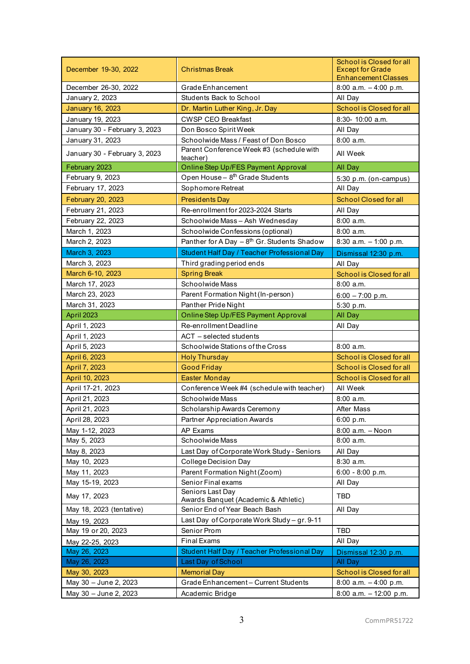| December 19-30, 2022          | <b>Christmas Break</b>                                   | School is Closed for all<br><b>Except for Grade</b><br><b>Enhancement Classes</b> |
|-------------------------------|----------------------------------------------------------|-----------------------------------------------------------------------------------|
| December 26-30, 2022          | Grade Enhancement                                        | 8:00 a.m. $-4:00$ p.m.                                                            |
| January 2, 2023               | <b>Students Back to School</b>                           | All Day                                                                           |
| <b>January 16, 2023</b>       | Dr. Martin Luther King, Jr. Day                          | School is Closed for all                                                          |
| January 19, 2023              | <b>CWSP CEO Breakfast</b>                                | 8:30- 10:00 a.m.                                                                  |
| January 30 - February 3, 2023 | Don Bosco Spirit Week                                    | All Day                                                                           |
| January 31, 2023              | Schoolwide Mass / Feast of Don Bosco                     | $8:00$ a.m.                                                                       |
| January 30 - February 3, 2023 | Parent Conference Week #3 (schedule with<br>teacher)     | All Week                                                                          |
| February 2023                 | Online Step Up/FES Payment Approval                      | All Day                                                                           |
| February 9, 2023              | Open House - 8 <sup>th</sup> Grade Students              | 5:30 p.m. (on-campus)                                                             |
| February 17, 2023             | Sophomore Retreat                                        | All Day                                                                           |
| February 20, 2023             | <b>Presidents Day</b>                                    | <b>School Closed for all</b>                                                      |
| February 21, 2023             | Re-enrollment for 2023-2024 Starts                       | All Day                                                                           |
| February 22, 2023             | Schoolwide Mass - Ash Wednesday                          | $8:00$ a.m.                                                                       |
| March 1, 2023                 | Schoolwide Confessions (optional)                        | $8:00$ a.m.                                                                       |
| March 2, 2023                 | Panther for A Day $-8^{th}$ Gr. Students Shadow          | 8:30 a.m. $-1:00$ p.m.                                                            |
| March 3, 2023                 | Student Half Day / Teacher Professional Day              | Dismissal 12:30 p.m.                                                              |
| March 3, 2023                 | Third grading period ends                                | All Day                                                                           |
| March 6-10, 2023              | <b>Spring Break</b>                                      | School is Closed for all                                                          |
| March 17, 2023                | Schoolwide Mass                                          | $8:00$ a.m.                                                                       |
| March 23, 2023                | Parent Formation Night (In-person)                       | $6:00 - 7:00$ p.m.                                                                |
| March 31, 2023                | Panther Pride Night                                      | 5:30 p.m.                                                                         |
| April 2023                    | Online Step Up/FES Payment Approval                      | All Day                                                                           |
| April 1, 2023                 | Re-enrollment Deadline                                   | All Day                                                                           |
| April 1, 2023                 | ACT - selected students                                  |                                                                                   |
| April 5, 2023                 | Schoolwide Stations of the Cross                         | $8:00$ a.m.                                                                       |
| April 6, 2023                 | <b>Holy Thursday</b>                                     | School is Closed for all                                                          |
| April 7, 2023                 | <b>Good Friday</b>                                       | School is Closed for all                                                          |
| April 10, 2023                | <b>Easter Monday</b>                                     | School is Closed for all                                                          |
| April 17-21, 2023             | Conference Week #4 (schedule with teacher)               | All Week                                                                          |
| April 21, 2023                | Schoolwide Mass                                          | $8:00$ a.m.                                                                       |
| April 21, 2023                | Scholarship Awards Ceremony                              | After Mass                                                                        |
| April 28, 2023                | <b>Partner Appreciation Awards</b>                       | 6:00 p.m.                                                                         |
| May 1-12, 2023                | AP Exams                                                 | 8:00 a.m. - Noon                                                                  |
| May 5, 2023                   | Schoolwide Mass                                          | $8:00$ a.m.                                                                       |
| May 8, 2023                   | Last Day of Corporate Work Study - Seniors               | All Day                                                                           |
| May 10, 2023                  | College Decision Day                                     | 8:30 a.m.                                                                         |
| May 11, 2023                  | Parent Formation Night (Zoom)                            | 6:00 - 8:00 p.m.                                                                  |
| May 15-19, 2023               | Senior Final exams                                       | All Day                                                                           |
| May 17, 2023                  | Seniors Last Day<br>Awards Banquet (Academic & Athletic) | TBD                                                                               |
| May 18, 2023 (tentative)      | Senior End of Year Beach Bash                            | All Day                                                                           |
| May 19, 2023                  | Last Day of Corporate Work Study - gr. 9-11              |                                                                                   |
| May 19 or 20, 2023            | Senior Prom                                              | TBD                                                                               |
| May 22-25, 2023               | <b>Final Exams</b>                                       | All Day                                                                           |
| May 26, 2023                  | Student Half Day / Teacher Professional Day              | Dismissal 12:30 p.m.                                                              |
| May 26, 2023                  | Last Day of School                                       | All Day                                                                           |
| May 30, 2023                  | <b>Memorial Day</b>                                      | School is Closed for all                                                          |
| May 30 - June 2, 2023         | Grade Enhancement - Current Students                     | 8:00 a.m. $-4:00$ p.m.                                                            |
| May 30 - June 2, 2023         | Academic Bridge                                          | 8:00 a.m. $-12:00$ p.m.                                                           |